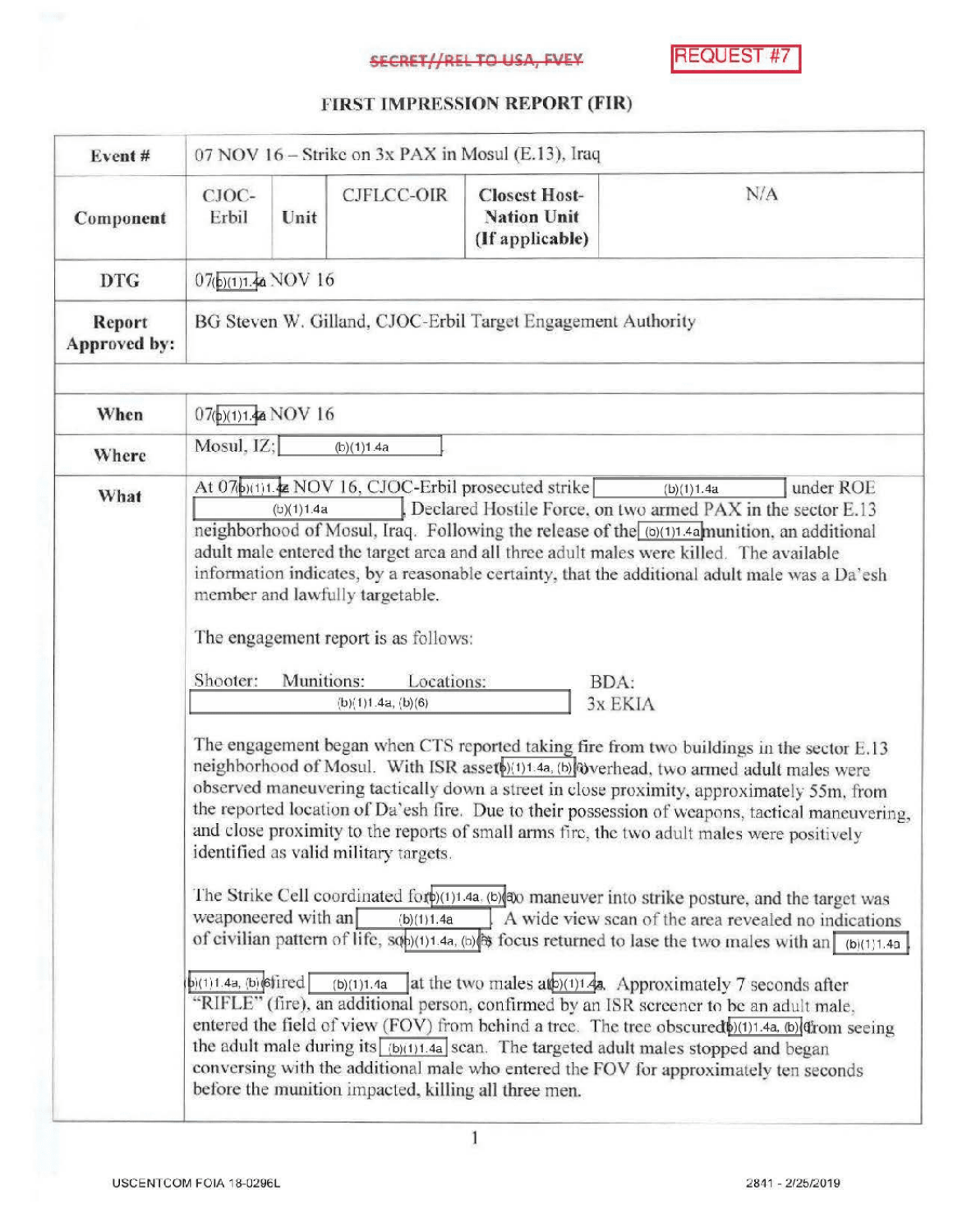## **SECRET//REL TO USA, FVEY**

**REQUEST #7** 

## FIRST IMPRESSION REPORT (FIR)

| Event#                 | 07 NOV 16 - Strike on 3x PAX in Mosul (E.13), Iraq                                                                                                                                                                                                                                                                                                                                                                                                                                                                                                                                                                                                                                                                                                                                                                                                                                                                                                                                                                                                                                                                                               |      |                   |                                                               |     |  |  |
|------------------------|--------------------------------------------------------------------------------------------------------------------------------------------------------------------------------------------------------------------------------------------------------------------------------------------------------------------------------------------------------------------------------------------------------------------------------------------------------------------------------------------------------------------------------------------------------------------------------------------------------------------------------------------------------------------------------------------------------------------------------------------------------------------------------------------------------------------------------------------------------------------------------------------------------------------------------------------------------------------------------------------------------------------------------------------------------------------------------------------------------------------------------------------------|------|-------------------|---------------------------------------------------------------|-----|--|--|
| Component              | CJOC-<br>Erbil                                                                                                                                                                                                                                                                                                                                                                                                                                                                                                                                                                                                                                                                                                                                                                                                                                                                                                                                                                                                                                                                                                                                   | Unit | <b>CJFLCC-OIR</b> | <b>Closest Host-</b><br><b>Nation Unit</b><br>(If applicable) | N/A |  |  |
| <b>DTG</b>             | $07(b)(1)1.4a$ NOV 16                                                                                                                                                                                                                                                                                                                                                                                                                                                                                                                                                                                                                                                                                                                                                                                                                                                                                                                                                                                                                                                                                                                            |      |                   |                                                               |     |  |  |
| Report<br>Approved by: | BG Steven W. Gilland, CJOC-Erbil Target Engagement Authority                                                                                                                                                                                                                                                                                                                                                                                                                                                                                                                                                                                                                                                                                                                                                                                                                                                                                                                                                                                                                                                                                     |      |                   |                                                               |     |  |  |
| When                   | 07(b)(1)1.4a NOV 16                                                                                                                                                                                                                                                                                                                                                                                                                                                                                                                                                                                                                                                                                                                                                                                                                                                                                                                                                                                                                                                                                                                              |      |                   |                                                               |     |  |  |
| Where                  | Mosul, IZ;<br>(b)(1)1.4a                                                                                                                                                                                                                                                                                                                                                                                                                                                                                                                                                                                                                                                                                                                                                                                                                                                                                                                                                                                                                                                                                                                         |      |                   |                                                               |     |  |  |
| What                   | At 07biti1.4 NOV 16, CJOC-Erbil prosecuted strike<br>under ROE<br>(b)(1)1.4a<br>Declared Hostile Force, on two armed PAX in the sector E.13<br>(b)(1)1.4a<br>neighborhood of Mosul, Iraq. Following the release of the (0)(1)1.4a munition, an additional<br>adult male entered the target area and all three adult males were killed. The available<br>information indicates, by a reasonable certainty, that the additional adult male was a Da'esh<br>member and lawfully targetable.<br>The engagement report is as follows:<br>Shooter:<br>Munitions:<br>Locations:<br>BDA:<br>(b)(1)1.4a, (b)(6)<br>3x EKIA<br>The engagement began when CTS reported taking fire from two buildings in the sector E.13<br>neighborhood of Mosul. With ISR asset (1) 11.4a, (b) werhead, two armed adult males were<br>observed maneuvering tactically down a street in close proximity, approximately 55m, from<br>the reported location of Da'esh fire. Due to their possession of weapons, tactical maneuvering,<br>and close proximity to the reports of small arms fire, the two adult males were positively<br>identified as valid military targets. |      |                   |                                                               |     |  |  |
|                        | The Strike Cell coordinated for (1)1.4a, (b) no maneuver into strike posture, and the target was<br>weaponeered with an<br>A wide view scan of the area revealed no indications<br>(b)(1)1.4a<br>of civilian pattern of life, sob)(1)1.4a, (b) is focus returned to lase the two males with an $[6]$ (1)1.4a<br>$\phi(1)1.4a$ , $\phi(\phi)$ is fired (b)(1)1.4a at the two males al $\phi(1)1.4a$ . Approximately 7 seconds after<br>"RIFLE" (fire), an additional person, confirmed by an ISR screener to be an adult male,<br>entered the field of view (FOV) from behind a tree. The tree obscured (b)(1)1.4a, (b) drom seeing<br>the adult male during its $\frac{[b](1)1.4a}{[c](1)1.4a}$ scan. The targeted adult males stopped and began<br>conversing with the additional male who entered the FOV for approximately ten seconds<br>before the munition impacted, killing all three men.                                                                                                                                                                                                                                                |      |                   |                                                               |     |  |  |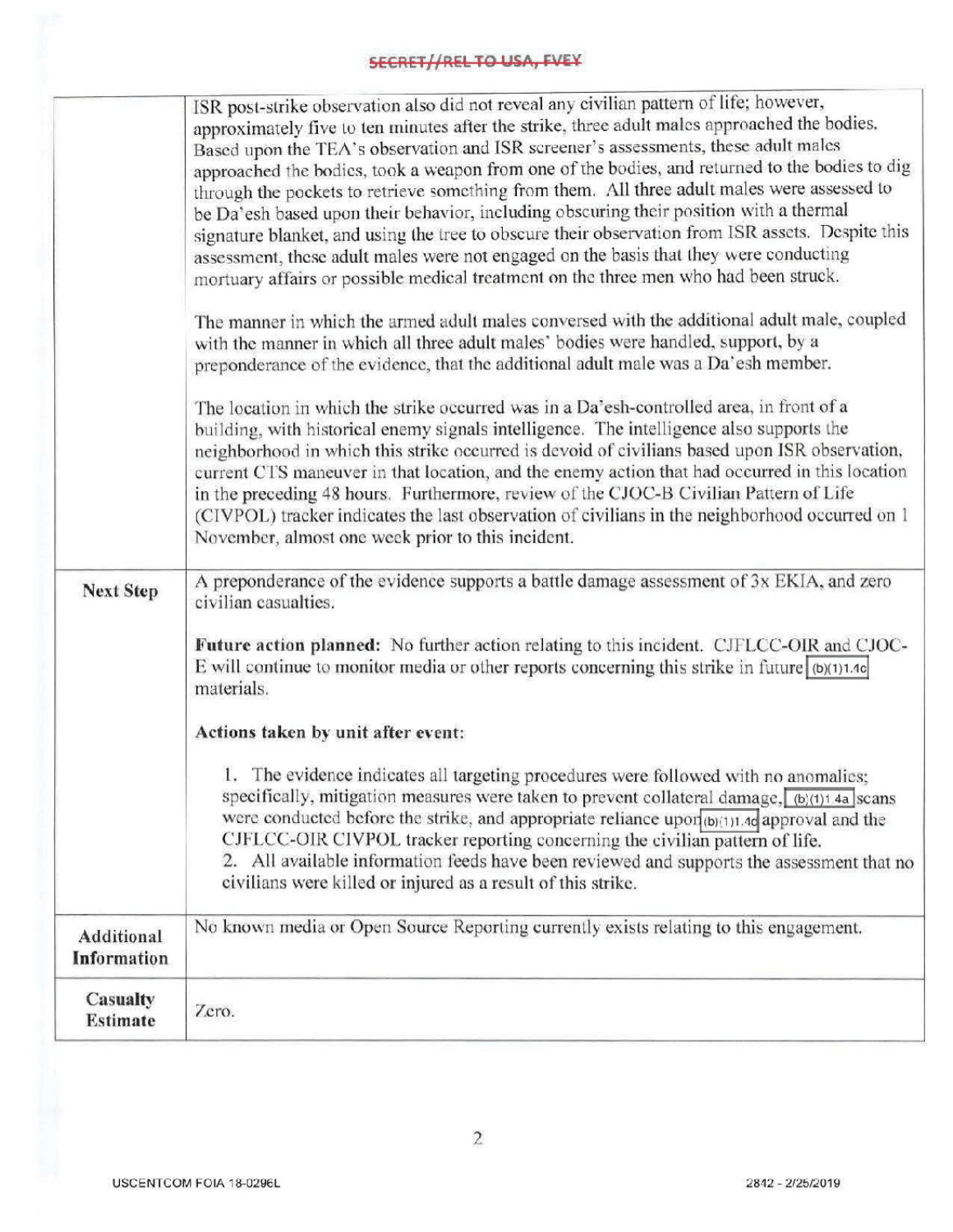## **SECRET//REL TO USA, FVEY**

| <b>Next Step</b>                   | ISR post-strike observation also did not reveal any civilian pattern of life; however,<br>approximately five to ten minutes after the strike, three adult males approached the bodies.<br>Based upon the TEA's observation and ISR screener's assessments, these adult males<br>approached the bodies, took a weapon from one of the bodies, and returned to the bodies to dig<br>through the pockets to retrieve something from them. All three adult males were assessed to<br>be Da'esh based upon their behavior, including obscuring their position with a thermal<br>signature blanket, and using the tree to obscure their observation from ISR assets. Despite this<br>assessment, these adult males were not engaged on the basis that they were conducting<br>mortuary affairs or possible medical treatment on the three men who had been struck.<br>The manner in which the armed adult males conversed with the additional adult male, coupled<br>with the manner in which all three adult males' bodies were handled, support, by a<br>preponderance of the evidence, that the additional adult male was a Da'esh member.<br>The location in which the strike occurred was in a Da'esh-controlled area, in front of a<br>building, with historical enemy signals intelligence. The intelligence also supports the<br>neighborhood in which this strike occurred is devoid of civilians based upon ISR observation,<br>current CTS maneuver in that location, and the enemy action that had occurred in this location<br>in the preceding 48 hours. Furthermore, review of the CJOC-B Civilian Pattern of Life<br>(CIVPOL) tracker indicates the last observation of civilians in the neighborhood occurred on 1<br>November, almost one week prior to this incident.<br>A preponderance of the evidence supports a battle damage assessment of 3x EKIA, and zero<br>civilian casualties.<br>Future action planned: No further action relating to this incident. CJFLCC-OIR and CJOC-<br>E will continue to monitor media or other reports concerning this strike in future $ \phi(1) $ 1.4c<br>materials.<br>Actions taken by unit after event:<br>1. The evidence indicates all targeting procedures were followed with no anomalies;<br>specifically, mitigation measures were taken to prevent collateral damage, $(b)(1)$ 4a scans<br>were conducted before the strike, and appropriate reliance upon $(b)(1)1.4d$ approval and the |
|------------------------------------|-------------------------------------------------------------------------------------------------------------------------------------------------------------------------------------------------------------------------------------------------------------------------------------------------------------------------------------------------------------------------------------------------------------------------------------------------------------------------------------------------------------------------------------------------------------------------------------------------------------------------------------------------------------------------------------------------------------------------------------------------------------------------------------------------------------------------------------------------------------------------------------------------------------------------------------------------------------------------------------------------------------------------------------------------------------------------------------------------------------------------------------------------------------------------------------------------------------------------------------------------------------------------------------------------------------------------------------------------------------------------------------------------------------------------------------------------------------------------------------------------------------------------------------------------------------------------------------------------------------------------------------------------------------------------------------------------------------------------------------------------------------------------------------------------------------------------------------------------------------------------------------------------------------------------------------------------------------------------------------------------------------------------------------------------------------------------------------------------------------------------------------------------------------------------------------------------------------------------------------------------------------------------------------------------------------------------------------------------------------------------------------------------------------------------------------------------------|
|                                    | CJFLCC-OIR CIVPOL tracker reporting concerning the civilian pattern of life.<br>2. All available information feeds have been reviewed and supports the assessment that no<br>civilians were killed or injured as a result of this strike.                                                                                                                                                                                                                                                                                                                                                                                                                                                                                                                                                                                                                                                                                                                                                                                                                                                                                                                                                                                                                                                                                                                                                                                                                                                                                                                                                                                                                                                                                                                                                                                                                                                                                                                                                                                                                                                                                                                                                                                                                                                                                                                                                                                                             |
| Additional<br>Information          | No known media or Open Source Reporting currently exists relating to this engagement.                                                                                                                                                                                                                                                                                                                                                                                                                                                                                                                                                                                                                                                                                                                                                                                                                                                                                                                                                                                                                                                                                                                                                                                                                                                                                                                                                                                                                                                                                                                                                                                                                                                                                                                                                                                                                                                                                                                                                                                                                                                                                                                                                                                                                                                                                                                                                                 |
| <b>Casualty</b><br><b>Estimate</b> | Zero.                                                                                                                                                                                                                                                                                                                                                                                                                                                                                                                                                                                                                                                                                                                                                                                                                                                                                                                                                                                                                                                                                                                                                                                                                                                                                                                                                                                                                                                                                                                                                                                                                                                                                                                                                                                                                                                                                                                                                                                                                                                                                                                                                                                                                                                                                                                                                                                                                                                 |